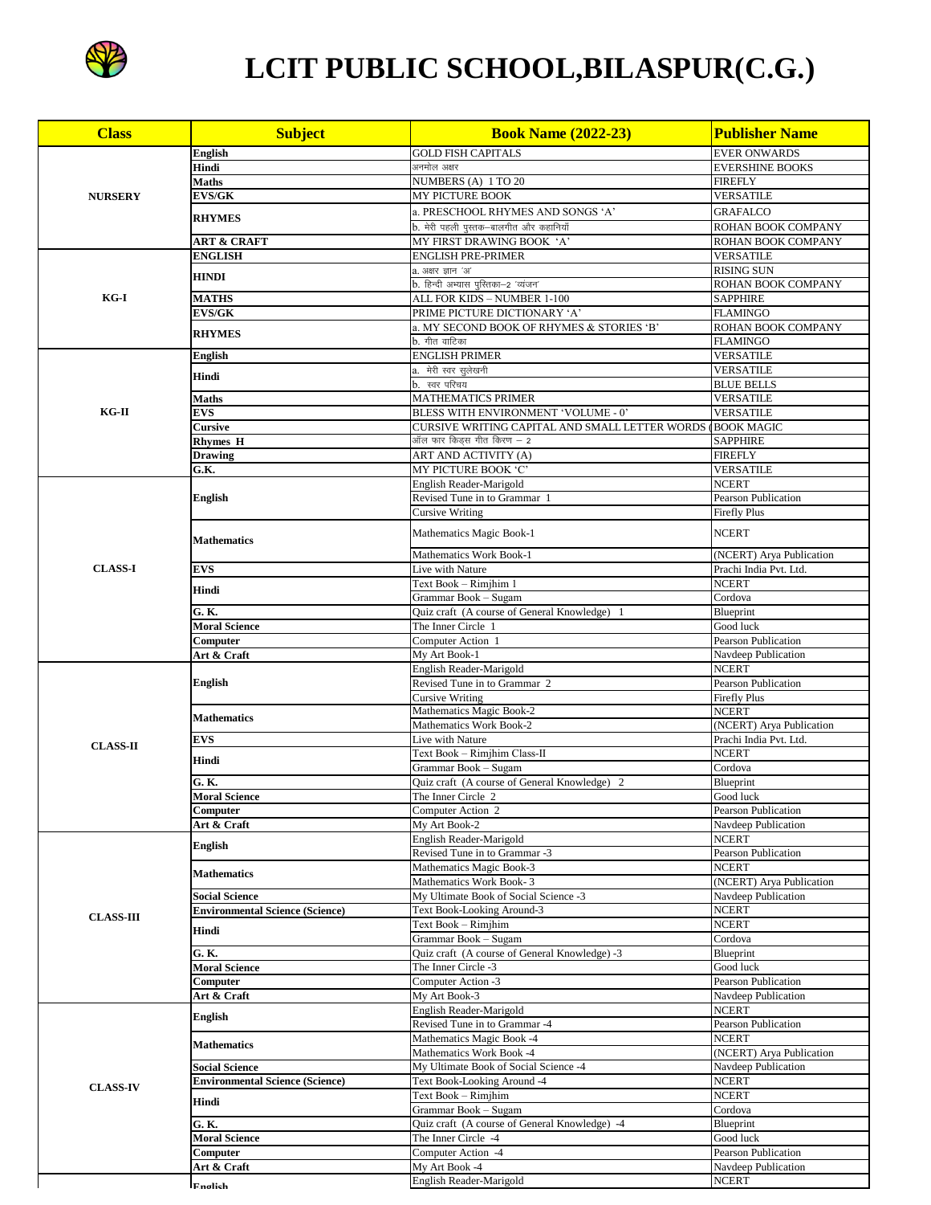

## LCIT PUBLIC SCHOOL, BILASPUR(C.G.)

| <b>Class</b>                                                            | <b>Subject</b>                         | <b>Book Name (2022-23)</b>                                           | <b>Publisher Name</b>                |
|-------------------------------------------------------------------------|----------------------------------------|----------------------------------------------------------------------|--------------------------------------|
|                                                                         | English                                | <b>GOLD FISH CAPITALS</b>                                            | <b>EVER ONWARDS</b>                  |
|                                                                         | Hindi                                  | अनमोल अक्षर                                                          | <b>EVERSHINE BOOKS</b>               |
|                                                                         | <b>Maths</b>                           | NUMBERS (A) 1 TO 20                                                  | <b>FIREFLY</b>                       |
|                                                                         | <b>EVS/GK</b>                          | MY PICTURE BOOK                                                      | <b>VERSATILE</b>                     |
|                                                                         |                                        | a. PRESCHOOL RHYMES AND SONGS 'A'                                    | <b>GRAFALCO</b>                      |
|                                                                         | <b>RHYMES</b>                          | b. मेरी पहली पुस्तक—बालगीत और कहानियाँ                               | ROHAN BOOK COMPANY                   |
|                                                                         | ART & CRAFT                            | MY FIRST DRAWING BOOK 'A'                                            | ROHAN BOOK COMPANY                   |
| KG-I<br>KG-II                                                           | <b>ENGLISH</b>                         | ENGLISH PRE-PRIMER                                                   | <b>VERSATILE</b>                     |
|                                                                         | <b>HINDI</b>                           | a. अक्षर ज्ञान 'अ'                                                   | <b>RISING SUN</b>                    |
|                                                                         |                                        | b. हिन्दी अभ्यास पुस्तिका—2 'व्यंजन'                                 | ROHAN BOOK COMPANY                   |
|                                                                         | <b>MATHS</b>                           | ALL FOR KIDS – NUMBER 1-100                                          | <b>SAPPHIRE</b>                      |
|                                                                         | <b>EVS/GK</b>                          | PRIME PICTURE DICTIONARY 'A'                                         | <b>FLAMINGO</b>                      |
|                                                                         | <b>RHYMES</b>                          | a. MY SECOND BOOK OF RHYMES & STORIES 'B'                            | ROHAN BOOK COMPANY                   |
|                                                                         |                                        | b. गीत वाटिका                                                        | <b>FLAMINGO</b>                      |
|                                                                         | <b>English</b>                         | ENGLISH PRIMER<br>a.  मेरी स्वर सुलेखनी                              | <b>VERSATILE</b><br><b>VERSATILE</b> |
|                                                                         | Hindi                                  | b.  स्वर परिचय                                                       | <b>BLUE BELLS</b>                    |
|                                                                         | <b>Maths</b>                           | <b>MATHEMATICS PRIMER</b>                                            | VERSATILE                            |
|                                                                         | <b>EVS</b>                             | BLESS WITH ENVIRONMENT 'VOLUME - 0'                                  | <b>VERSATILE</b>                     |
|                                                                         | <b>Cursive</b>                         | CURSIVE WRITING CAPITAL AND SMALL LETTER WORDS                       | (BOOK MAGIC                          |
|                                                                         | <b>Rhymes H</b>                        | ऑल फार किड्स गीत किरण – 2                                            | <b>SAPPHIRE</b>                      |
|                                                                         | <b>Drawing</b>                         | <b>ART AND ACTIVITY (A)</b>                                          | <b>FIREFLY</b>                       |
| <b>NURSERY</b><br><b>CLASS-I</b><br><b>CLASS-II</b><br><b>CLASS-III</b> | G.K.                                   | MY PICTURE BOOK 'C'                                                  | <b>VERSATILE</b>                     |
|                                                                         |                                        | English Reader-Marigold                                              | <b>NCERT</b>                         |
|                                                                         | <b>English</b>                         | Revised Tune in to Grammar 1                                         | <b>Pearson Publication</b>           |
|                                                                         |                                        | Cursive Writing                                                      | <b>Firefly Plus</b>                  |
|                                                                         | <b>Mathematics</b>                     | Mathematics Magic Book-1                                             | <b>NCERT</b>                         |
|                                                                         |                                        | Mathematics Work Book-1                                              | (NCERT) Arya Publication             |
|                                                                         | <b>EVS</b>                             | Live with Nature                                                     | Prachi India Pvt. Ltd.               |
|                                                                         | Hindi                                  | Text Book - Rimjhim 1                                                | <b>NCERT</b>                         |
|                                                                         |                                        | Grammar Book – Sugam                                                 | Cordova                              |
|                                                                         | G. K.                                  | Quiz craft (A course of General Knowledge) 1                         | Blueprint<br>Good luck               |
|                                                                         | <b>Moral Science</b><br>Computer       | The Inner Circle 1<br>Computer Action 1                              | Pearson Publication                  |
|                                                                         | Art & Craft                            | My Art Book-1                                                        | Navdeep Publication                  |
|                                                                         | <b>English</b>                         | English Reader-Marigold                                              | <b>NCERT</b>                         |
|                                                                         |                                        | Revised Tune in to Grammar 2                                         | Pearson Publication                  |
|                                                                         |                                        | <b>Cursive Writing</b>                                               | <b>Firefly Plus</b>                  |
|                                                                         | <b>Mathematics</b>                     | Mathematics Magic Book-2                                             | <b>NCERT</b>                         |
|                                                                         |                                        | Mathematics Work Book-2                                              | (NCERT) Arya Publication             |
|                                                                         | <b>EVS</b>                             | Live with Nature                                                     | Prachi India Pvt. Ltd.               |
|                                                                         | Hindi                                  | Text Book - Rimjhim Class-II                                         | <b>NCERT</b>                         |
|                                                                         | G. K.                                  | Grammar Book - Sugam<br>Quiz craft (A course of General Knowledge) 2 | Cordova<br>Blueprint                 |
|                                                                         | <b>Moral Science</b>                   | The Inner Circle 2                                                   | Good luck                            |
|                                                                         | Computer                               | Computer Action 2                                                    | Pearson Publication                  |
| <b>CLASS-IV</b>                                                         | Art & Craft                            | My Art Book-2                                                        | Navdeep Publication                  |
|                                                                         |                                        | English Reader-Marigold                                              | <b>NCERT</b>                         |
|                                                                         | English                                | Revised Tune in to Grammar -3                                        | Pearson Publication                  |
|                                                                         | <b>Mathematics</b>                     | Mathematics Magic Book-3                                             | <b>NCERT</b>                         |
|                                                                         |                                        | Mathematics Work Book-3                                              | (NCERT) Arya Publication             |
|                                                                         | <b>Social Science</b>                  | My Ultimate Book of Social Science -3                                | Navdeep Publication                  |
|                                                                         | <b>Environmental Science (Science)</b> | Text Book-Looking Around-3                                           | <b>NCERT</b>                         |
|                                                                         | Hindi                                  | Text Book - Rimjhim<br>Grammar Book - Sugam                          | <b>NCERT</b><br>Cordova              |
|                                                                         | G. K.                                  | Quiz craft (A course of General Knowledge) -3                        | Blueprint                            |
|                                                                         | <b>Moral Science</b>                   | The Inner Circle -3                                                  | Good luck                            |
|                                                                         | Computer                               | Computer Action -3                                                   | Pearson Publication                  |
|                                                                         | Art & Craft                            | My Art Book-3                                                        | Navdeep Publication                  |
|                                                                         |                                        | English Reader-Marigold                                              | <b>NCERT</b>                         |
|                                                                         | English<br><b>Mathematics</b>          | Revised Tune in to Grammar -4                                        | Pearson Publication                  |
|                                                                         |                                        | <b>Mathematics Magic Book -4</b>                                     | <b>NCERT</b>                         |
|                                                                         |                                        | Mathematics Work Book -4                                             | (NCERT) Arya Publication             |
|                                                                         | <b>Social Science</b>                  | My Ultimate Book of Social Science -4                                | Navdeep Publication<br><b>NCERT</b>  |
|                                                                         | <b>Environmental Science (Science)</b> | Text Book-Looking Around -4<br>Text Book – Rimjhim                   | <b>NCERT</b>                         |
|                                                                         | Hindi                                  | Grammar Book - Sugam                                                 | Cordova                              |
|                                                                         | G.K.                                   | Quiz craft (A course of General Knowledge) -4                        | Blueprint                            |
|                                                                         | <b>Moral Science</b>                   | The Inner Circle -4                                                  | Good luck                            |
|                                                                         | Computer                               | Computer Action -4                                                   | Pearson Publication                  |
|                                                                         | Art & Craft                            | My Art Book -4                                                       | Navdeep Publication                  |
|                                                                         | <b>F</b> nalich                        | English Reader-Marigold                                              | <b>NCERT</b>                         |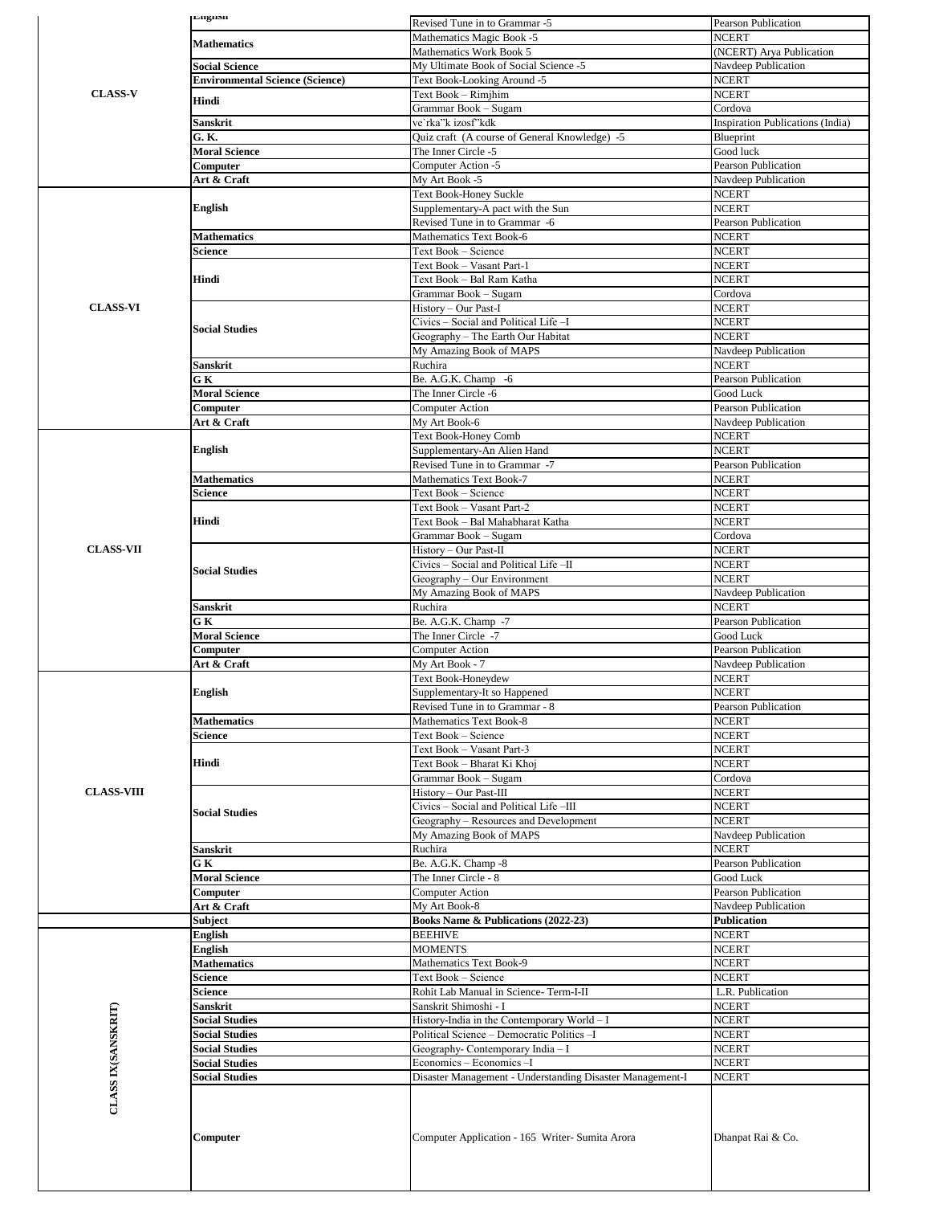|                                                          | Languon                                        | Revised Tune in to Grammar -5                                                              | Pearson Publication                       |
|----------------------------------------------------------|------------------------------------------------|--------------------------------------------------------------------------------------------|-------------------------------------------|
|                                                          | <b>Mathematics</b>                             | Mathematics Magic Book -5                                                                  | <b>NCERT</b>                              |
|                                                          |                                                | Mathematics Work Book 5                                                                    | (NCERT) Arya Publication                  |
|                                                          | <b>Social Science</b>                          | My Ultimate Book of Social Science -5                                                      | Navdeep Publication                       |
| <b>CLASS-V</b>                                           | <b>Environmental Science (Science)</b>         | Text Book-Looking Around -5<br>Text Book - Rimjhim                                         | <b>NCERT</b><br><b>NCERT</b>              |
|                                                          | Hindi                                          | Grammar Book - Sugam                                                                       | Cordova                                   |
|                                                          | Sanskrit                                       | ve`rka"k izosf"kdk                                                                         | Inspiration Publications (India)          |
|                                                          | G. K.                                          | Quiz craft (A course of General Knowledge) -5                                              | Blueprint                                 |
|                                                          | <b>Moral Science</b>                           | The Inner Circle -5                                                                        | Good luck                                 |
| <b>CLASS-VI</b><br><b>CLASS-VII</b><br><b>CLASS-VIII</b> | Computer                                       | Computer Action -5                                                                         | Pearson Publication                       |
|                                                          | Art & Craft                                    | My Art Book -5                                                                             | Navdeep Publication                       |
|                                                          | English                                        | Text Book-Honey Suckle                                                                     | <b>NCERT</b>                              |
|                                                          |                                                | Supplementary-A pact with the Sun<br>Revised Tune in to Grammar -6                         | <b>NCERT</b><br>Pearson Publication       |
|                                                          | <b>Mathematics</b>                             | Mathematics Text Book-6                                                                    | <b>NCERT</b>                              |
|                                                          | Science                                        | Text Book - Science                                                                        | <b>NCERT</b>                              |
|                                                          |                                                | Text Book - Vasant Part-1                                                                  | <b>NCERT</b>                              |
|                                                          | Hindi                                          | Text Book – Bal Ram Katha                                                                  | <b>NCERT</b>                              |
|                                                          |                                                | Grammar Book – Sugam                                                                       | Cordova                                   |
|                                                          |                                                | History - Our Past-I                                                                       | <b>NCERT</b>                              |
|                                                          | <b>Social Studies</b>                          | Civics - Social and Political Life -I<br>Geography - The Earth Our Habitat                 | <b>NCERT</b><br><b>NCERT</b>              |
|                                                          |                                                | My Amazing Book of MAPS                                                                    | Navdeep Publication                       |
|                                                          | Sanskrit                                       | Ruchira                                                                                    | <b>NCERT</b>                              |
|                                                          | GК                                             | Be. A.G.K. Champ -6                                                                        | <b>Pearson Publication</b>                |
|                                                          | <b>Moral Science</b>                           | The Inner Circle -6                                                                        | Good Luck                                 |
|                                                          | Computer                                       | <b>Computer Action</b>                                                                     | Pearson Publication                       |
|                                                          | Art & Craft                                    | My Art Book-6                                                                              | Navdeep Publication                       |
|                                                          | English                                        | <b>Text Book-Honey Comb</b><br>Supplementary-An Alien Hand                                 | <b>NCERT</b><br><b>NCERT</b>              |
|                                                          |                                                | Revised Tune in to Grammar -7                                                              | Pearson Publication                       |
|                                                          | <b>Mathematics</b>                             | <b>Mathematics Text Book-7</b>                                                             | <b>NCERT</b>                              |
|                                                          | Science                                        | Text Book - Science                                                                        | <b>NCERT</b>                              |
|                                                          |                                                | Text Book - Vasant Part-2                                                                  | <b>NCERT</b>                              |
|                                                          | Hindi                                          | Text Book – Bal Mahabharat Katha                                                           | <b>NCERT</b>                              |
|                                                          |                                                | Grammar Book – Sugam                                                                       | Cordova                                   |
|                                                          |                                                | History - Our Past-II                                                                      | <b>NCERT</b><br><b>NCERT</b>              |
|                                                          | <b>Social Studies</b>                          | Civics - Social and Political Life -II<br>Geography - Our Environment                      | <b>NCERT</b>                              |
|                                                          |                                                | My Amazing Book of MAPS                                                                    | Navdeep Publication                       |
|                                                          | Sanskrit                                       | Ruchira                                                                                    | <b>NCERT</b>                              |
|                                                          | GК                                             | Be. A.G.K. Champ -7                                                                        | Pearson Publication                       |
|                                                          | <b>Moral Science</b>                           | The Inner Circle -7                                                                        | Good Luck                                 |
|                                                          | Computer                                       | Computer Action                                                                            | Pearson Publication                       |
|                                                          | Art & Craft                                    | My Art Book - 7<br>Text Book-Honeydew                                                      | Navdeep Publication<br><b>NCERT</b>       |
|                                                          | <b>English</b>                                 | Supplementary-It so Happened                                                               | <b>NCERT</b>                              |
|                                                          |                                                | Revised Tune in to Grammar - 8                                                             | Pearson Publication                       |
|                                                          | Mathematics                                    | Mathematics Text Book-8                                                                    | <b>NCERT</b>                              |
|                                                          | Science                                        | Text Book - Science                                                                        | <b>NCERT</b>                              |
|                                                          |                                                | Text Book - Vasant Part-3                                                                  | <b>NCERT</b>                              |
| <b>CLASS IX(SANSKRIT)</b>                                | Hindi                                          | Text Book - Bharat Ki Khoj                                                                 | <b>NCERT</b>                              |
|                                                          |                                                | Grammar Book – Sugam<br>History - Our Past-III                                             | Cordova<br><b>NCERT</b>                   |
|                                                          |                                                | Civics - Social and Political Life -III                                                    | <b>NCERT</b>                              |
|                                                          | <b>Social Studies</b>                          | Geography – Resources and Development                                                      | <b>NCERT</b>                              |
|                                                          |                                                | My Amazing Book of MAPS                                                                    | Navdeep Publication                       |
|                                                          | Sanskrit                                       | Ruchira                                                                                    | <b>NCERT</b>                              |
|                                                          | GК                                             | Be. A.G.K. Champ -8                                                                        | Pearson Publication                       |
|                                                          | <b>Moral Science</b>                           | The Inner Circle - 8                                                                       | Good Luck                                 |
|                                                          | Computer                                       | Computer Action                                                                            | Pearson Publication                       |
|                                                          | Art & Craft<br>Subject                         | My Art Book-8<br>Books Name & Publications (2022-23)                                       | Navdeep Publication<br><b>Publication</b> |
|                                                          | English                                        | <b>BEEHIVE</b>                                                                             | <b>NCERT</b>                              |
|                                                          | English                                        | <b>MOMENTS</b>                                                                             | <b>NCERT</b>                              |
|                                                          | <b>Mathematics</b>                             | Mathematics Text Book-9                                                                    | <b>NCERT</b>                              |
|                                                          | Science                                        | Text Book - Science                                                                        | <b>NCERT</b>                              |
|                                                          | Science                                        | Rohit Lab Manual in Science-Term-I-II                                                      | L.R. Publication                          |
|                                                          | Sanskrit                                       | Sanskrit Shimoshi - I                                                                      | <b>NCERT</b>                              |
|                                                          | <b>Social Studies</b><br><b>Social Studies</b> | History-India in the Contemporary World - I<br>Political Science - Democratic Politics - I | <b>NCERT</b><br><b>NCERT</b>              |
|                                                          | <b>Social Studies</b>                          | Geography- Contemporary India - I                                                          | <b>NCERT</b>                              |
|                                                          | <b>Social Studies</b>                          | Economics - Economics - I                                                                  | <b>NCERT</b>                              |
|                                                          | <b>Social Studies</b>                          | Disaster Management - Understanding Disaster Management-I                                  | <b>NCERT</b>                              |
|                                                          | Computer                                       | Computer Application - 165 Writer-Sumita Arora                                             | Dhanpat Rai & Co.                         |
|                                                          |                                                |                                                                                            |                                           |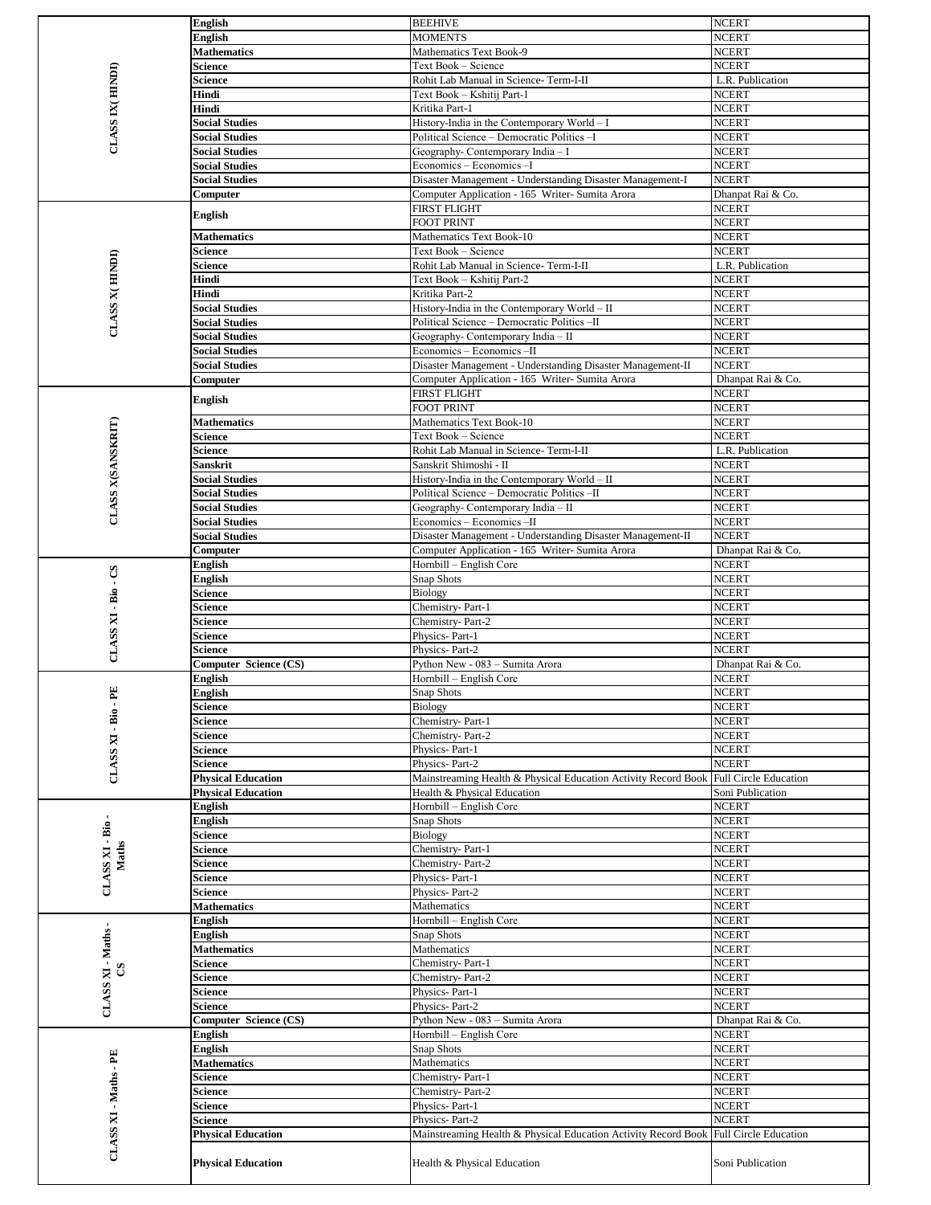|                       | <b>English</b>                                                                                                                                                                                                                                                                                                                                                                                                                                                                                                                                                                                                                                                                                                                                                                                                                                                                                                                                                                                                                                                                                                                                                                                                                                                                                                                                                                                                                                                                                                                                                                                               |                                                                | <b>NCERT</b>                 |
|-----------------------|--------------------------------------------------------------------------------------------------------------------------------------------------------------------------------------------------------------------------------------------------------------------------------------------------------------------------------------------------------------------------------------------------------------------------------------------------------------------------------------------------------------------------------------------------------------------------------------------------------------------------------------------------------------------------------------------------------------------------------------------------------------------------------------------------------------------------------------------------------------------------------------------------------------------------------------------------------------------------------------------------------------------------------------------------------------------------------------------------------------------------------------------------------------------------------------------------------------------------------------------------------------------------------------------------------------------------------------------------------------------------------------------------------------------------------------------------------------------------------------------------------------------------------------------------------------------------------------------------------------|----------------------------------------------------------------|------------------------------|
|                       | <b>English</b>                                                                                                                                                                                                                                                                                                                                                                                                                                                                                                                                                                                                                                                                                                                                                                                                                                                                                                                                                                                                                                                                                                                                                                                                                                                                                                                                                                                                                                                                                                                                                                                               | <b>MOMENTS</b>                                                 | <b>NCERT</b>                 |
|                       | <b>Mathematics</b>                                                                                                                                                                                                                                                                                                                                                                                                                                                                                                                                                                                                                                                                                                                                                                                                                                                                                                                                                                                                                                                                                                                                                                                                                                                                                                                                                                                                                                                                                                                                                                                           | Mathematics Text Book-9                                        | <b>NCERT</b>                 |
|                       | Science                                                                                                                                                                                                                                                                                                                                                                                                                                                                                                                                                                                                                                                                                                                                                                                                                                                                                                                                                                                                                                                                                                                                                                                                                                                                                                                                                                                                                                                                                                                                                                                                      | Text Book - Science                                            | <b>NCERT</b>                 |
|                       | Science                                                                                                                                                                                                                                                                                                                                                                                                                                                                                                                                                                                                                                                                                                                                                                                                                                                                                                                                                                                                                                                                                                                                                                                                                                                                                                                                                                                                                                                                                                                                                                                                      | Rohit Lab Manual in Science-Term-I-II                          | L.R. Publication             |
|                       | Hindi                                                                                                                                                                                                                                                                                                                                                                                                                                                                                                                                                                                                                                                                                                                                                                                                                                                                                                                                                                                                                                                                                                                                                                                                                                                                                                                                                                                                                                                                                                                                                                                                        | Text Book - Kshitij Part-1                                     | <b>NCERT</b>                 |
|                       | Hindi                                                                                                                                                                                                                                                                                                                                                                                                                                                                                                                                                                                                                                                                                                                                                                                                                                                                                                                                                                                                                                                                                                                                                                                                                                                                                                                                                                                                                                                                                                                                                                                                        | Kritika Part-1                                                 | <b>NCERT</b>                 |
|                       | <b>Social Studies</b>                                                                                                                                                                                                                                                                                                                                                                                                                                                                                                                                                                                                                                                                                                                                                                                                                                                                                                                                                                                                                                                                                                                                                                                                                                                                                                                                                                                                                                                                                                                                                                                        | History-India in the Contemporary World $- I$                  | <b>NCERT</b>                 |
|                       | <b>Social Studies</b>                                                                                                                                                                                                                                                                                                                                                                                                                                                                                                                                                                                                                                                                                                                                                                                                                                                                                                                                                                                                                                                                                                                                                                                                                                                                                                                                                                                                                                                                                                                                                                                        | Political Science - Democratic Politics - I                    | <b>NCERT</b>                 |
|                       | <b>Social Studies</b>                                                                                                                                                                                                                                                                                                                                                                                                                                                                                                                                                                                                                                                                                                                                                                                                                                                                                                                                                                                                                                                                                                                                                                                                                                                                                                                                                                                                                                                                                                                                                                                        | Geography- Contemporary India - I                              | <b>NCERT</b>                 |
|                       |                                                                                                                                                                                                                                                                                                                                                                                                                                                                                                                                                                                                                                                                                                                                                                                                                                                                                                                                                                                                                                                                                                                                                                                                                                                                                                                                                                                                                                                                                                                                                                                                              |                                                                | <b>NCERT</b>                 |
|                       |                                                                                                                                                                                                                                                                                                                                                                                                                                                                                                                                                                                                                                                                                                                                                                                                                                                                                                                                                                                                                                                                                                                                                                                                                                                                                                                                                                                                                                                                                                                                                                                                              |                                                                | <b>NCERT</b>                 |
|                       |                                                                                                                                                                                                                                                                                                                                                                                                                                                                                                                                                                                                                                                                                                                                                                                                                                                                                                                                                                                                                                                                                                                                                                                                                                                                                                                                                                                                                                                                                                                                                                                                              |                                                                | Dhanpat Rai & Co.            |
|                       |                                                                                                                                                                                                                                                                                                                                                                                                                                                                                                                                                                                                                                                                                                                                                                                                                                                                                                                                                                                                                                                                                                                                                                                                                                                                                                                                                                                                                                                                                                                                                                                                              |                                                                | <b>NCERT</b>                 |
|                       |                                                                                                                                                                                                                                                                                                                                                                                                                                                                                                                                                                                                                                                                                                                                                                                                                                                                                                                                                                                                                                                                                                                                                                                                                                                                                                                                                                                                                                                                                                                                                                                                              |                                                                | <b>NCERT</b>                 |
|                       |                                                                                                                                                                                                                                                                                                                                                                                                                                                                                                                                                                                                                                                                                                                                                                                                                                                                                                                                                                                                                                                                                                                                                                                                                                                                                                                                                                                                                                                                                                                                                                                                              |                                                                | <b>NCERT</b>                 |
|                       |                                                                                                                                                                                                                                                                                                                                                                                                                                                                                                                                                                                                                                                                                                                                                                                                                                                                                                                                                                                                                                                                                                                                                                                                                                                                                                                                                                                                                                                                                                                                                                                                              |                                                                | <b>NCERT</b>                 |
|                       |                                                                                                                                                                                                                                                                                                                                                                                                                                                                                                                                                                                                                                                                                                                                                                                                                                                                                                                                                                                                                                                                                                                                                                                                                                                                                                                                                                                                                                                                                                                                                                                                              |                                                                | L.R. Publication             |
|                       |                                                                                                                                                                                                                                                                                                                                                                                                                                                                                                                                                                                                                                                                                                                                                                                                                                                                                                                                                                                                                                                                                                                                                                                                                                                                                                                                                                                                                                                                                                                                                                                                              |                                                                | <b>NCERT</b>                 |
|                       |                                                                                                                                                                                                                                                                                                                                                                                                                                                                                                                                                                                                                                                                                                                                                                                                                                                                                                                                                                                                                                                                                                                                                                                                                                                                                                                                                                                                                                                                                                                                                                                                              |                                                                | <b>NCERT</b>                 |
|                       |                                                                                                                                                                                                                                                                                                                                                                                                                                                                                                                                                                                                                                                                                                                                                                                                                                                                                                                                                                                                                                                                                                                                                                                                                                                                                                                                                                                                                                                                                                                                                                                                              |                                                                | <b>NCERT</b>                 |
|                       |                                                                                                                                                                                                                                                                                                                                                                                                                                                                                                                                                                                                                                                                                                                                                                                                                                                                                                                                                                                                                                                                                                                                                                                                                                                                                                                                                                                                                                                                                                                                                                                                              |                                                                | <b>NCERT</b>                 |
|                       |                                                                                                                                                                                                                                                                                                                                                                                                                                                                                                                                                                                                                                                                                                                                                                                                                                                                                                                                                                                                                                                                                                                                                                                                                                                                                                                                                                                                                                                                                                                                                                                                              |                                                                | <b>NCERT</b>                 |
|                       |                                                                                                                                                                                                                                                                                                                                                                                                                                                                                                                                                                                                                                                                                                                                                                                                                                                                                                                                                                                                                                                                                                                                                                                                                                                                                                                                                                                                                                                                                                                                                                                                              |                                                                | <b>NCERT</b>                 |
|                       |                                                                                                                                                                                                                                                                                                                                                                                                                                                                                                                                                                                                                                                                                                                                                                                                                                                                                                                                                                                                                                                                                                                                                                                                                                                                                                                                                                                                                                                                                                                                                                                                              |                                                                |                              |
|                       |                                                                                                                                                                                                                                                                                                                                                                                                                                                                                                                                                                                                                                                                                                                                                                                                                                                                                                                                                                                                                                                                                                                                                                                                                                                                                                                                                                                                                                                                                                                                                                                                              |                                                                | <b>NCERT</b>                 |
|                       |                                                                                                                                                                                                                                                                                                                                                                                                                                                                                                                                                                                                                                                                                                                                                                                                                                                                                                                                                                                                                                                                                                                                                                                                                                                                                                                                                                                                                                                                                                                                                                                                              |                                                                | Dhanpat Rai & Co.            |
|                       | <b>English</b>                                                                                                                                                                                                                                                                                                                                                                                                                                                                                                                                                                                                                                                                                                                                                                                                                                                                                                                                                                                                                                                                                                                                                                                                                                                                                                                                                                                                                                                                                                                                                                                               |                                                                | <b>NCERT</b>                 |
|                       | CLASS IX (HINDI)<br><b>Social Studies</b><br><b>Social Studies</b><br>Computer<br>English<br><b>Mathematics</b><br>Science<br><b>CLASS X(HINDI)</b><br>Science<br>Hindi<br>Hindi<br><b>Social Studies</b><br><b>Social Studies</b><br><b>Social Studies</b><br><b>Social Studies</b><br><b>Social Studies</b><br>Computer<br><b>CLASS X(SANSKRIT)</b><br><b>Mathematics</b><br>Science<br>Science<br>Sanskrit<br><b>Social Studies</b><br><b>Social Studies</b><br><b>Social Studies</b><br><b>Social Studies</b><br><b>Social Studies</b><br>Computer<br>English<br>SQ.<br><b>English</b><br>CLASS XI - Bio<br>Science<br>Science<br>Science<br>Science<br>Science<br>Computer Science (CS)<br>English<br>E<br>English<br><b>Science</b><br>$CLASSXI - Bio$<br><b>Science</b><br>Science<br>Science<br>Science<br><b>Physical Education</b><br><b>Physical Education</b><br>English<br>CLASS XI - Bio-<br>English<br>Science<br>Maths<br>Science<br>Science<br>Science<br>Science<br><b>Mathematics</b><br>English<br>CLASS XI - Maths -<br>English<br><b>Mathematics</b><br>Science<br>S<br>Science<br>Science<br>Science<br>Computer Science (CS)<br>English<br>English<br><b>Mathematics</b><br>Science<br>Science                                                                                                                                                                                                                                                                                                                                                                                       |                                                                | <b>NCERT</b>                 |
|                       |                                                                                                                                                                                                                                                                                                                                                                                                                                                                                                                                                                                                                                                                                                                                                                                                                                                                                                                                                                                                                                                                                                                                                                                                                                                                                                                                                                                                                                                                                                                                                                                                              |                                                                | <b>NCERT</b>                 |
|                       |                                                                                                                                                                                                                                                                                                                                                                                                                                                                                                                                                                                                                                                                                                                                                                                                                                                                                                                                                                                                                                                                                                                                                                                                                                                                                                                                                                                                                                                                                                                                                                                                              | Text Book - Science                                            | <b>NCERT</b>                 |
|                       |                                                                                                                                                                                                                                                                                                                                                                                                                                                                                                                                                                                                                                                                                                                                                                                                                                                                                                                                                                                                                                                                                                                                                                                                                                                                                                                                                                                                                                                                                                                                                                                                              |                                                                | L.R. Publication             |
|                       |                                                                                                                                                                                                                                                                                                                                                                                                                                                                                                                                                                                                                                                                                                                                                                                                                                                                                                                                                                                                                                                                                                                                                                                                                                                                                                                                                                                                                                                                                                                                                                                                              |                                                                | <b>NCERT</b>                 |
|                       |                                                                                                                                                                                                                                                                                                                                                                                                                                                                                                                                                                                                                                                                                                                                                                                                                                                                                                                                                                                                                                                                                                                                                                                                                                                                                                                                                                                                                                                                                                                                                                                                              |                                                                | <b>NCERT</b>                 |
|                       |                                                                                                                                                                                                                                                                                                                                                                                                                                                                                                                                                                                                                                                                                                                                                                                                                                                                                                                                                                                                                                                                                                                                                                                                                                                                                                                                                                                                                                                                                                                                                                                                              | Political Science - Democratic Politics -II                    | <b>NCERT</b>                 |
|                       |                                                                                                                                                                                                                                                                                                                                                                                                                                                                                                                                                                                                                                                                                                                                                                                                                                                                                                                                                                                                                                                                                                                                                                                                                                                                                                                                                                                                                                                                                                                                                                                                              | Geography- Contemporary India - II                             | <b>NCERT</b>                 |
|                       |                                                                                                                                                                                                                                                                                                                                                                                                                                                                                                                                                                                                                                                                                                                                                                                                                                                                                                                                                                                                                                                                                                                                                                                                                                                                                                                                                                                                                                                                                                                                                                                                              | Economics - Economics -II                                      | <b>NCERT</b>                 |
|                       |                                                                                                                                                                                                                                                                                                                                                                                                                                                                                                                                                                                                                                                                                                                                                                                                                                                                                                                                                                                                                                                                                                                                                                                                                                                                                                                                                                                                                                                                                                                                                                                                              | Disaster Management - Understanding Disaster Management-II     | <b>NCERT</b>                 |
|                       |                                                                                                                                                                                                                                                                                                                                                                                                                                                                                                                                                                                                                                                                                                                                                                                                                                                                                                                                                                                                                                                                                                                                                                                                                                                                                                                                                                                                                                                                                                                                                                                                              | Computer Application - 165 Writer-Sumita Arora                 | Dhanpat Rai & Co.            |
|                       |                                                                                                                                                                                                                                                                                                                                                                                                                                                                                                                                                                                                                                                                                                                                                                                                                                                                                                                                                                                                                                                                                                                                                                                                                                                                                                                                                                                                                                                                                                                                                                                                              | Hornbill - English Core                                        | <b>NCERT</b>                 |
|                       |                                                                                                                                                                                                                                                                                                                                                                                                                                                                                                                                                                                                                                                                                                                                                                                                                                                                                                                                                                                                                                                                                                                                                                                                                                                                                                                                                                                                                                                                                                                                                                                                              |                                                                | <b>NCERT</b>                 |
|                       |                                                                                                                                                                                                                                                                                                                                                                                                                                                                                                                                                                                                                                                                                                                                                                                                                                                                                                                                                                                                                                                                                                                                                                                                                                                                                                                                                                                                                                                                                                                                                                                                              |                                                                | <b>NCERT</b>                 |
|                       |                                                                                                                                                                                                                                                                                                                                                                                                                                                                                                                                                                                                                                                                                                                                                                                                                                                                                                                                                                                                                                                                                                                                                                                                                                                                                                                                                                                                                                                                                                                                                                                                              |                                                                | <b>NCERT</b>                 |
|                       |                                                                                                                                                                                                                                                                                                                                                                                                                                                                                                                                                                                                                                                                                                                                                                                                                                                                                                                                                                                                                                                                                                                                                                                                                                                                                                                                                                                                                                                                                                                                                                                                              |                                                                | <b>NCERT</b>                 |
|                       |                                                                                                                                                                                                                                                                                                                                                                                                                                                                                                                                                                                                                                                                                                                                                                                                                                                                                                                                                                                                                                                                                                                                                                                                                                                                                                                                                                                                                                                                                                                                                                                                              |                                                                | <b>NCERT</b>                 |
|                       |                                                                                                                                                                                                                                                                                                                                                                                                                                                                                                                                                                                                                                                                                                                                                                                                                                                                                                                                                                                                                                                                                                                                                                                                                                                                                                                                                                                                                                                                                                                                                                                                              |                                                                | <b>NCERT</b>                 |
|                       |                                                                                                                                                                                                                                                                                                                                                                                                                                                                                                                                                                                                                                                                                                                                                                                                                                                                                                                                                                                                                                                                                                                                                                                                                                                                                                                                                                                                                                                                                                                                                                                                              |                                                                | Dhanpat Rai & Co.            |
|                       |                                                                                                                                                                                                                                                                                                                                                                                                                                                                                                                                                                                                                                                                                                                                                                                                                                                                                                                                                                                                                                                                                                                                                                                                                                                                                                                                                                                                                                                                                                                                                                                                              |                                                                | <b>NCERT</b>                 |
|                       |                                                                                                                                                                                                                                                                                                                                                                                                                                                                                                                                                                                                                                                                                                                                                                                                                                                                                                                                                                                                                                                                                                                                                                                                                                                                                                                                                                                                                                                                                                                                                                                                              |                                                                | <b>NCERT</b>                 |
|                       |                                                                                                                                                                                                                                                                                                                                                                                                                                                                                                                                                                                                                                                                                                                                                                                                                                                                                                                                                                                                                                                                                                                                                                                                                                                                                                                                                                                                                                                                                                                                                                                                              |                                                                | <b>NCERT</b>                 |
|                       |                                                                                                                                                                                                                                                                                                                                                                                                                                                                                                                                                                                                                                                                                                                                                                                                                                                                                                                                                                                                                                                                                                                                                                                                                                                                                                                                                                                                                                                                                                                                                                                                              |                                                                | <b>NCERT</b>                 |
|                       |                                                                                                                                                                                                                                                                                                                                                                                                                                                                                                                                                                                                                                                                                                                                                                                                                                                                                                                                                                                                                                                                                                                                                                                                                                                                                                                                                                                                                                                                                                                                                                                                              |                                                                |                              |
|                       |                                                                                                                                                                                                                                                                                                                                                                                                                                                                                                                                                                                                                                                                                                                                                                                                                                                                                                                                                                                                                                                                                                                                                                                                                                                                                                                                                                                                                                                                                                                                                                                                              |                                                                |                              |
|                       |                                                                                                                                                                                                                                                                                                                                                                                                                                                                                                                                                                                                                                                                                                                                                                                                                                                                                                                                                                                                                                                                                                                                                                                                                                                                                                                                                                                                                                                                                                                                                                                                              |                                                                | <b>NCERT</b>                 |
|                       |                                                                                                                                                                                                                                                                                                                                                                                                                                                                                                                                                                                                                                                                                                                                                                                                                                                                                                                                                                                                                                                                                                                                                                                                                                                                                                                                                                                                                                                                                                                                                                                                              | Physics-Part-1                                                 | <b>NCERT</b>                 |
|                       | Economics - Economics - I<br>Disaster Management - Understanding Disaster Management-I<br>Computer Application - 165 Writer-Sumita Arora<br><b>FIRST FLIGHT</b><br><b>FOOT PRINT</b><br><b>Mathematics Text Book-10</b><br>Text Book - Science<br>Rohit Lab Manual in Science-Term-I-II<br>Text Book - Kshitij Part-2<br>Kritika Part-2<br>History-India in the Contemporary World - II<br>Political Science - Democratic Politics -II<br>Geography-Contemporary India - II<br>Economics - Economics -II<br>Disaster Management - Understanding Disaster Management-II<br>Computer Application - 165 Writer- Sumita Arora<br>FIRST FLIGHT<br><b>FOOT PRINT</b><br>Mathematics Text Book-10<br>Rohit Lab Manual in Science-Term-I-II<br>Sanskrit Shimoshi - II<br>History-India in the Contemporary World - II<br>Snap Shots<br>Biology<br>Chemistry-Part-1<br>Chemistry-Part-2<br>Physics-Part-1<br>Physics-Part-2<br>Python New - 083 - Sumita Arora<br>Hornbill - English Core<br>Snap Shots<br>Biology<br>Chemistry-Part-1<br>Chemistry-Part-2<br>Physics-Part-2<br>Mainstreaming Health & Physical Education Activity Record Book<br>Health & Physical Education<br>Hornbill – English Core<br>Snap Shots<br>Biology<br>Chemistry-Part-1<br>Chemistry-Part-2<br>Physics-Part-1<br>Physics-Part-2<br>Mathematics<br>Hornbill – English Core<br>Snap Shots<br>Mathematics<br>Chemistry-Part-1<br>Chemistry-Part-2<br>Physics-Part-1<br>Physics-Part-2<br>Python New - 083 - Sumita Arora<br>Hornbill – English Core<br>Snap Shots<br>Mathematics<br>Chemistry-Part-1<br>Chemistry-Part-2<br>Physics-Part-1 | <b>NCERT</b>                                                   |                              |
|                       |                                                                                                                                                                                                                                                                                                                                                                                                                                                                                                                                                                                                                                                                                                                                                                                                                                                                                                                                                                                                                                                                                                                                                                                                                                                                                                                                                                                                                                                                                                                                                                                                              |                                                                | <b>Full Circle Education</b> |
|                       |                                                                                                                                                                                                                                                                                                                                                                                                                                                                                                                                                                                                                                                                                                                                                                                                                                                                                                                                                                                                                                                                                                                                                                                                                                                                                                                                                                                                                                                                                                                                                                                                              |                                                                | Soni Publication             |
|                       |                                                                                                                                                                                                                                                                                                                                                                                                                                                                                                                                                                                                                                                                                                                                                                                                                                                                                                                                                                                                                                                                                                                                                                                                                                                                                                                                                                                                                                                                                                                                                                                                              |                                                                | <b>NCERT</b>                 |
|                       |                                                                                                                                                                                                                                                                                                                                                                                                                                                                                                                                                                                                                                                                                                                                                                                                                                                                                                                                                                                                                                                                                                                                                                                                                                                                                                                                                                                                                                                                                                                                                                                                              | <b>BEEHIVE</b>                                                 | <b>NCERT</b>                 |
|                       |                                                                                                                                                                                                                                                                                                                                                                                                                                                                                                                                                                                                                                                                                                                                                                                                                                                                                                                                                                                                                                                                                                                                                                                                                                                                                                                                                                                                                                                                                                                                                                                                              |                                                                | <b>NCERT</b>                 |
|                       |                                                                                                                                                                                                                                                                                                                                                                                                                                                                                                                                                                                                                                                                                                                                                                                                                                                                                                                                                                                                                                                                                                                                                                                                                                                                                                                                                                                                                                                                                                                                                                                                              |                                                                | <b>NCERT</b>                 |
|                       |                                                                                                                                                                                                                                                                                                                                                                                                                                                                                                                                                                                                                                                                                                                                                                                                                                                                                                                                                                                                                                                                                                                                                                                                                                                                                                                                                                                                                                                                                                                                                                                                              |                                                                | <b>NCERT</b>                 |
|                       |                                                                                                                                                                                                                                                                                                                                                                                                                                                                                                                                                                                                                                                                                                                                                                                                                                                                                                                                                                                                                                                                                                                                                                                                                                                                                                                                                                                                                                                                                                                                                                                                              |                                                                | <b>NCERT</b>                 |
|                       |                                                                                                                                                                                                                                                                                                                                                                                                                                                                                                                                                                                                                                                                                                                                                                                                                                                                                                                                                                                                                                                                                                                                                                                                                                                                                                                                                                                                                                                                                                                                                                                                              |                                                                | <b>NCERT</b>                 |
|                       |                                                                                                                                                                                                                                                                                                                                                                                                                                                                                                                                                                                                                                                                                                                                                                                                                                                                                                                                                                                                                                                                                                                                                                                                                                                                                                                                                                                                                                                                                                                                                                                                              |                                                                | <b>NCERT</b>                 |
|                       |                                                                                                                                                                                                                                                                                                                                                                                                                                                                                                                                                                                                                                                                                                                                                                                                                                                                                                                                                                                                                                                                                                                                                                                                                                                                                                                                                                                                                                                                                                                                                                                                              |                                                                | <b>NCERT</b>                 |
|                       |                                                                                                                                                                                                                                                                                                                                                                                                                                                                                                                                                                                                                                                                                                                                                                                                                                                                                                                                                                                                                                                                                                                                                                                                                                                                                                                                                                                                                                                                                                                                                                                                              |                                                                | <b>NCERT</b>                 |
|                       |                                                                                                                                                                                                                                                                                                                                                                                                                                                                                                                                                                                                                                                                                                                                                                                                                                                                                                                                                                                                                                                                                                                                                                                                                                                                                                                                                                                                                                                                                                                                                                                                              |                                                                | <b>NCERT</b>                 |
|                       |                                                                                                                                                                                                                                                                                                                                                                                                                                                                                                                                                                                                                                                                                                                                                                                                                                                                                                                                                                                                                                                                                                                                                                                                                                                                                                                                                                                                                                                                                                                                                                                                              |                                                                | <b>NCERT</b>                 |
|                       |                                                                                                                                                                                                                                                                                                                                                                                                                                                                                                                                                                                                                                                                                                                                                                                                                                                                                                                                                                                                                                                                                                                                                                                                                                                                                                                                                                                                                                                                                                                                                                                                              |                                                                | <b>NCERT</b>                 |
|                       |                                                                                                                                                                                                                                                                                                                                                                                                                                                                                                                                                                                                                                                                                                                                                                                                                                                                                                                                                                                                                                                                                                                                                                                                                                                                                                                                                                                                                                                                                                                                                                                                              |                                                                | <b>NCERT</b>                 |
|                       |                                                                                                                                                                                                                                                                                                                                                                                                                                                                                                                                                                                                                                                                                                                                                                                                                                                                                                                                                                                                                                                                                                                                                                                                                                                                                                                                                                                                                                                                                                                                                                                                              |                                                                | <b>NCERT</b>                 |
|                       |                                                                                                                                                                                                                                                                                                                                                                                                                                                                                                                                                                                                                                                                                                                                                                                                                                                                                                                                                                                                                                                                                                                                                                                                                                                                                                                                                                                                                                                                                                                                                                                                              |                                                                | Dhanpat Rai & Co.            |
|                       |                                                                                                                                                                                                                                                                                                                                                                                                                                                                                                                                                                                                                                                                                                                                                                                                                                                                                                                                                                                                                                                                                                                                                                                                                                                                                                                                                                                                                                                                                                                                                                                                              |                                                                | <b>NCERT</b>                 |
|                       |                                                                                                                                                                                                                                                                                                                                                                                                                                                                                                                                                                                                                                                                                                                                                                                                                                                                                                                                                                                                                                                                                                                                                                                                                                                                                                                                                                                                                                                                                                                                                                                                              |                                                                | <b>NCERT</b>                 |
|                       |                                                                                                                                                                                                                                                                                                                                                                                                                                                                                                                                                                                                                                                                                                                                                                                                                                                                                                                                                                                                                                                                                                                                                                                                                                                                                                                                                                                                                                                                                                                                                                                                              |                                                                | <b>NCERT</b>                 |
|                       |                                                                                                                                                                                                                                                                                                                                                                                                                                                                                                                                                                                                                                                                                                                                                                                                                                                                                                                                                                                                                                                                                                                                                                                                                                                                                                                                                                                                                                                                                                                                                                                                              |                                                                | <b>NCERT</b>                 |
|                       |                                                                                                                                                                                                                                                                                                                                                                                                                                                                                                                                                                                                                                                                                                                                                                                                                                                                                                                                                                                                                                                                                                                                                                                                                                                                                                                                                                                                                                                                                                                                                                                                              |                                                                | <b>NCERT</b>                 |
|                       | Science                                                                                                                                                                                                                                                                                                                                                                                                                                                                                                                                                                                                                                                                                                                                                                                                                                                                                                                                                                                                                                                                                                                                                                                                                                                                                                                                                                                                                                                                                                                                                                                                      |                                                                | <b>NCERT</b>                 |
|                       | Science                                                                                                                                                                                                                                                                                                                                                                                                                                                                                                                                                                                                                                                                                                                                                                                                                                                                                                                                                                                                                                                                                                                                                                                                                                                                                                                                                                                                                                                                                                                                                                                                      | Physics-Part-2                                                 | <b>NCERT</b>                 |
|                       | <b>Physical Education</b>                                                                                                                                                                                                                                                                                                                                                                                                                                                                                                                                                                                                                                                                                                                                                                                                                                                                                                                                                                                                                                                                                                                                                                                                                                                                                                                                                                                                                                                                                                                                                                                    | Mainstreaming Health & Physical Education Activity Record Book | <b>Full Circle Education</b> |
|                       |                                                                                                                                                                                                                                                                                                                                                                                                                                                                                                                                                                                                                                                                                                                                                                                                                                                                                                                                                                                                                                                                                                                                                                                                                                                                                                                                                                                                                                                                                                                                                                                                              |                                                                |                              |
| CLASS XI - Maths - PE | <b>Physical Education</b>                                                                                                                                                                                                                                                                                                                                                                                                                                                                                                                                                                                                                                                                                                                                                                                                                                                                                                                                                                                                                                                                                                                                                                                                                                                                                                                                                                                                                                                                                                                                                                                    | Health & Physical Education                                    | Soni Publication             |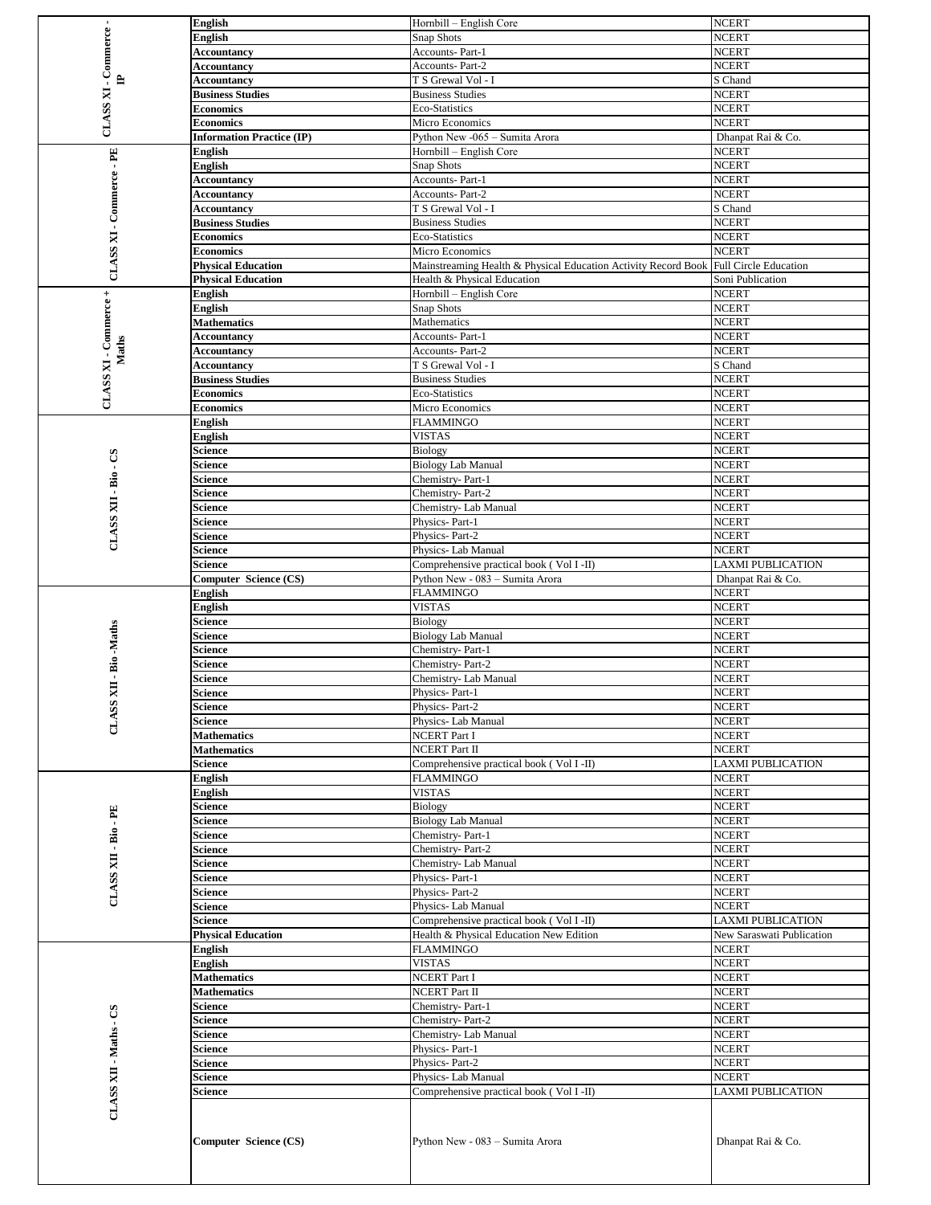|                                                                                                                                                                                                                                                                                                                                                                                                                                                                                                                                                                                                                                                                                                                                                                                                                                                                                                                                              |                                                                                                   |                                                                                                                                                                                                                                                                                                                                                                                                                                                                                                                                                                                                                                                                                                                                                                                                                                                                                                                                                                                                                                                                                                                                                                                                                                                                                                                                                                                                                                                                                                                                                                                                                                                               | <b>NCERT</b>                 |
|----------------------------------------------------------------------------------------------------------------------------------------------------------------------------------------------------------------------------------------------------------------------------------------------------------------------------------------------------------------------------------------------------------------------------------------------------------------------------------------------------------------------------------------------------------------------------------------------------------------------------------------------------------------------------------------------------------------------------------------------------------------------------------------------------------------------------------------------------------------------------------------------------------------------------------------------|---------------------------------------------------------------------------------------------------|---------------------------------------------------------------------------------------------------------------------------------------------------------------------------------------------------------------------------------------------------------------------------------------------------------------------------------------------------------------------------------------------------------------------------------------------------------------------------------------------------------------------------------------------------------------------------------------------------------------------------------------------------------------------------------------------------------------------------------------------------------------------------------------------------------------------------------------------------------------------------------------------------------------------------------------------------------------------------------------------------------------------------------------------------------------------------------------------------------------------------------------------------------------------------------------------------------------------------------------------------------------------------------------------------------------------------------------------------------------------------------------------------------------------------------------------------------------------------------------------------------------------------------------------------------------------------------------------------------------------------------------------------------------|------------------------------|
| 白                                                                                                                                                                                                                                                                                                                                                                                                                                                                                                                                                                                                                                                                                                                                                                                                                                                                                                                                            | <b>English</b>                                                                                    | Snap Shots                                                                                                                                                                                                                                                                                                                                                                                                                                                                                                                                                                                                                                                                                                                                                                                                                                                                                                                                                                                                                                                                                                                                                                                                                                                                                                                                                                                                                                                                                                                                                                                                                                                    | <b>NCERT</b>                 |
|                                                                                                                                                                                                                                                                                                                                                                                                                                                                                                                                                                                                                                                                                                                                                                                                                                                                                                                                              | <b>Accountancy</b>                                                                                | Accounts-Part-1                                                                                                                                                                                                                                                                                                                                                                                                                                                                                                                                                                                                                                                                                                                                                                                                                                                                                                                                                                                                                                                                                                                                                                                                                                                                                                                                                                                                                                                                                                                                                                                                                                               | <b>NCERT</b>                 |
|                                                                                                                                                                                                                                                                                                                                                                                                                                                                                                                                                                                                                                                                                                                                                                                                                                                                                                                                              | Accountancy                                                                                       | <b>Accounts-Part-2</b>                                                                                                                                                                                                                                                                                                                                                                                                                                                                                                                                                                                                                                                                                                                                                                                                                                                                                                                                                                                                                                                                                                                                                                                                                                                                                                                                                                                                                                                                                                                                                                                                                                        | <b>NCERT</b>                 |
|                                                                                                                                                                                                                                                                                                                                                                                                                                                                                                                                                                                                                                                                                                                                                                                                                                                                                                                                              |                                                                                                   |                                                                                                                                                                                                                                                                                                                                                                                                                                                                                                                                                                                                                                                                                                                                                                                                                                                                                                                                                                                                                                                                                                                                                                                                                                                                                                                                                                                                                                                                                                                                                                                                                                                               | S Chand                      |
|                                                                                                                                                                                                                                                                                                                                                                                                                                                                                                                                                                                                                                                                                                                                                                                                                                                                                                                                              |                                                                                                   |                                                                                                                                                                                                                                                                                                                                                                                                                                                                                                                                                                                                                                                                                                                                                                                                                                                                                                                                                                                                                                                                                                                                                                                                                                                                                                                                                                                                                                                                                                                                                                                                                                                               | <b>NCERT</b>                 |
|                                                                                                                                                                                                                                                                                                                                                                                                                                                                                                                                                                                                                                                                                                                                                                                                                                                                                                                                              |                                                                                                   |                                                                                                                                                                                                                                                                                                                                                                                                                                                                                                                                                                                                                                                                                                                                                                                                                                                                                                                                                                                                                                                                                                                                                                                                                                                                                                                                                                                                                                                                                                                                                                                                                                                               | <b>NCERT</b>                 |
|                                                                                                                                                                                                                                                                                                                                                                                                                                                                                                                                                                                                                                                                                                                                                                                                                                                                                                                                              |                                                                                                   |                                                                                                                                                                                                                                                                                                                                                                                                                                                                                                                                                                                                                                                                                                                                                                                                                                                                                                                                                                                                                                                                                                                                                                                                                                                                                                                                                                                                                                                                                                                                                                                                                                                               | <b>NCERT</b>                 |
|                                                                                                                                                                                                                                                                                                                                                                                                                                                                                                                                                                                                                                                                                                                                                                                                                                                                                                                                              |                                                                                                   |                                                                                                                                                                                                                                                                                                                                                                                                                                                                                                                                                                                                                                                                                                                                                                                                                                                                                                                                                                                                                                                                                                                                                                                                                                                                                                                                                                                                                                                                                                                                                                                                                                                               | Dhanpat Rai & Co.            |
|                                                                                                                                                                                                                                                                                                                                                                                                                                                                                                                                                                                                                                                                                                                                                                                                                                                                                                                                              |                                                                                                   |                                                                                                                                                                                                                                                                                                                                                                                                                                                                                                                                                                                                                                                                                                                                                                                                                                                                                                                                                                                                                                                                                                                                                                                                                                                                                                                                                                                                                                                                                                                                                                                                                                                               |                              |
|                                                                                                                                                                                                                                                                                                                                                                                                                                                                                                                                                                                                                                                                                                                                                                                                                                                                                                                                              |                                                                                                   |                                                                                                                                                                                                                                                                                                                                                                                                                                                                                                                                                                                                                                                                                                                                                                                                                                                                                                                                                                                                                                                                                                                                                                                                                                                                                                                                                                                                                                                                                                                                                                                                                                                               | <b>NCERT</b>                 |
|                                                                                                                                                                                                                                                                                                                                                                                                                                                                                                                                                                                                                                                                                                                                                                                                                                                                                                                                              |                                                                                                   |                                                                                                                                                                                                                                                                                                                                                                                                                                                                                                                                                                                                                                                                                                                                                                                                                                                                                                                                                                                                                                                                                                                                                                                                                                                                                                                                                                                                                                                                                                                                                                                                                                                               | <b>NCERT</b>                 |
|                                                                                                                                                                                                                                                                                                                                                                                                                                                                                                                                                                                                                                                                                                                                                                                                                                                                                                                                              |                                                                                                   |                                                                                                                                                                                                                                                                                                                                                                                                                                                                                                                                                                                                                                                                                                                                                                                                                                                                                                                                                                                                                                                                                                                                                                                                                                                                                                                                                                                                                                                                                                                                                                                                                                                               | <b>NCERT</b>                 |
|                                                                                                                                                                                                                                                                                                                                                                                                                                                                                                                                                                                                                                                                                                                                                                                                                                                                                                                                              |                                                                                                   |                                                                                                                                                                                                                                                                                                                                                                                                                                                                                                                                                                                                                                                                                                                                                                                                                                                                                                                                                                                                                                                                                                                                                                                                                                                                                                                                                                                                                                                                                                                                                                                                                                                               | <b>NCERT</b>                 |
|                                                                                                                                                                                                                                                                                                                                                                                                                                                                                                                                                                                                                                                                                                                                                                                                                                                                                                                                              | Accountancy                                                                                       |                                                                                                                                                                                                                                                                                                                                                                                                                                                                                                                                                                                                                                                                                                                                                                                                                                                                                                                                                                                                                                                                                                                                                                                                                                                                                                                                                                                                                                                                                                                                                                                                                                                               | S Chand                      |
|                                                                                                                                                                                                                                                                                                                                                                                                                                                                                                                                                                                                                                                                                                                                                                                                                                                                                                                                              | <b>Business Studies</b>                                                                           |                                                                                                                                                                                                                                                                                                                                                                                                                                                                                                                                                                                                                                                                                                                                                                                                                                                                                                                                                                                                                                                                                                                                                                                                                                                                                                                                                                                                                                                                                                                                                                                                                                                               | <b>NCERT</b>                 |
|                                                                                                                                                                                                                                                                                                                                                                                                                                                                                                                                                                                                                                                                                                                                                                                                                                                                                                                                              | <b>Economics</b>                                                                                  | Eco-Statistics                                                                                                                                                                                                                                                                                                                                                                                                                                                                                                                                                                                                                                                                                                                                                                                                                                                                                                                                                                                                                                                                                                                                                                                                                                                                                                                                                                                                                                                                                                                                                                                                                                                | <b>NCERT</b>                 |
|                                                                                                                                                                                                                                                                                                                                                                                                                                                                                                                                                                                                                                                                                                                                                                                                                                                                                                                                              | <b>Economics</b>                                                                                  | Micro Economics                                                                                                                                                                                                                                                                                                                                                                                                                                                                                                                                                                                                                                                                                                                                                                                                                                                                                                                                                                                                                                                                                                                                                                                                                                                                                                                                                                                                                                                                                                                                                                                                                                               | <b>NCERT</b>                 |
|                                                                                                                                                                                                                                                                                                                                                                                                                                                                                                                                                                                                                                                                                                                                                                                                                                                                                                                                              |                                                                                                   |                                                                                                                                                                                                                                                                                                                                                                                                                                                                                                                                                                                                                                                                                                                                                                                                                                                                                                                                                                                                                                                                                                                                                                                                                                                                                                                                                                                                                                                                                                                                                                                                                                                               | <b>Full Circle Education</b> |
|                                                                                                                                                                                                                                                                                                                                                                                                                                                                                                                                                                                                                                                                                                                                                                                                                                                                                                                                              |                                                                                                   |                                                                                                                                                                                                                                                                                                                                                                                                                                                                                                                                                                                                                                                                                                                                                                                                                                                                                                                                                                                                                                                                                                                                                                                                                                                                                                                                                                                                                                                                                                                                                                                                                                                               | Soni Publication             |
|                                                                                                                                                                                                                                                                                                                                                                                                                                                                                                                                                                                                                                                                                                                                                                                                                                                                                                                                              |                                                                                                   |                                                                                                                                                                                                                                                                                                                                                                                                                                                                                                                                                                                                                                                                                                                                                                                                                                                                                                                                                                                                                                                                                                                                                                                                                                                                                                                                                                                                                                                                                                                                                                                                                                                               | <b>NCERT</b>                 |
|                                                                                                                                                                                                                                                                                                                                                                                                                                                                                                                                                                                                                                                                                                                                                                                                                                                                                                                                              |                                                                                                   |                                                                                                                                                                                                                                                                                                                                                                                                                                                                                                                                                                                                                                                                                                                                                                                                                                                                                                                                                                                                                                                                                                                                                                                                                                                                                                                                                                                                                                                                                                                                                                                                                                                               | <b>NCERT</b>                 |
|                                                                                                                                                                                                                                                                                                                                                                                                                                                                                                                                                                                                                                                                                                                                                                                                                                                                                                                                              |                                                                                                   |                                                                                                                                                                                                                                                                                                                                                                                                                                                                                                                                                                                                                                                                                                                                                                                                                                                                                                                                                                                                                                                                                                                                                                                                                                                                                                                                                                                                                                                                                                                                                                                                                                                               | <b>NCERT</b>                 |
| $^{+}$<br>English<br>CLASS XI - Commerce<br><b>English</b><br>Maths<br>English<br><b>English</b><br>Science<br>පී<br>Science<br>$\overline{B}$ io<br>Science<br>Science<br><b>CLASS XII</b><br>Science<br>Science<br>Science<br>Science<br>Science<br><b>English</b><br><b>English</b><br>Science<br>Science<br>Science<br>Science                                                                                                                                                                                                                                                                                                                                                                                                                                                                                                                                                                                                           |                                                                                                   |                                                                                                                                                                                                                                                                                                                                                                                                                                                                                                                                                                                                                                                                                                                                                                                                                                                                                                                                                                                                                                                                                                                                                                                                                                                                                                                                                                                                                                                                                                                                                                                                                                                               |                              |
|                                                                                                                                                                                                                                                                                                                                                                                                                                                                                                                                                                                                                                                                                                                                                                                                                                                                                                                                              |                                                                                                   | Hornbill – English Core<br>T S Grewal Vol - I<br><b>Business Studies</b><br>Eco-Statistics<br>Micro Economics<br>Python New -065 - Sumita Arora<br>Hornbill – English Core<br>Snap Shots<br>Accounts-Part-1<br><b>Accounts-Part-2</b><br>T S Grewal Vol - I<br><b>Business Studies</b><br>Health & Physical Education<br>Hornbill - English Core<br>Snap Shots<br>Mathematics<br>Accounts-Part-1<br><b>Accounts-Part-2</b><br>T S Grewal Vol - I<br><b>Business Studies</b><br>Eco-Statistics<br>Micro Economics<br>FLAMMINGO<br><b>VISTAS</b><br>Biology<br><b>Biology Lab Manual</b><br>Chemistry-Part-1<br>Chemistry-Part-2<br>Chemistry- Lab Manual<br>Physics-Part-1<br>Physics-Part-2<br>Physics- Lab Manual<br>Comprehensive practical book (Vol I-II)<br>Python New - 083 - Sumita Arora<br><b>FLAMMINGO</b><br><b>VISTAS</b><br><b>Biology</b><br><b>Biology Lab Manual</b><br>Chemistry-Part-1<br>Chemistry-Part-2<br>Chemistry- Lab Manual<br>Physics-Part-1<br>Physics-Part-2<br>Physics- Lab Manual<br><b>NCERT Part I</b><br><b>NCERT Part II</b><br>Comprehensive practical book (Vol I-II)<br><b>FLAMMINGO</b><br><b>VISTAS</b><br>Biology<br><b>Biology Lab Manual</b><br>Chemistry-Part-1<br>Chemistry-Part-2<br>Chemistry- Lab Manual<br>Physics-Part-1<br>Physics-Part-2<br>Physics- Lab Manual<br>Comprehensive practical book (Vol I-II)<br>Health & Physical Education New Edition<br><b>FLAMMINGO</b><br><b>VISTAS</b><br>NCERT Part I<br><b>NCERT Part II</b><br>Chemistry-Part-1<br>Chemistry-Part-2<br>Chemistry- Lab Manual<br>Physics-Part-1<br>Physics-Part-2<br>Physics- Lab Manual<br>Comprehensive practical book (Vol I-II) | <b>NCERT</b>                 |
|                                                                                                                                                                                                                                                                                                                                                                                                                                                                                                                                                                                                                                                                                                                                                                                                                                                                                                                                              |                                                                                                   |                                                                                                                                                                                                                                                                                                                                                                                                                                                                                                                                                                                                                                                                                                                                                                                                                                                                                                                                                                                                                                                                                                                                                                                                                                                                                                                                                                                                                                                                                                                                                                                                                                                               | <b>NCERT</b>                 |
| Accountancy<br><b>CLASS XI</b><br><b>Business Studies</b><br><b>Economics</b><br><b>Economics</b><br><b>Information Practice (IP)</b><br>$-PE$<br><b>English</b><br><b>English</b><br>CLASS XI - Commerce<br><b>Accountancy</b><br>Accountancy<br><b>Physical Education</b><br><b>Physical Education</b><br><b>Mathematics</b><br>Accountancy<br>Accountancy<br>Accountancy<br><b>Business Studies</b><br><b>Economics</b><br><b>Economics</b><br>Computer Science (CS)<br>- Bio -Maths<br>Science<br>$\mathbf{H}$<br><b>Science</b><br>CLASS<br><b>Science</b><br>Science<br><b>Mathematics</b><br><b>Mathematics</b><br>Science<br>English<br><b>English</b><br>Science<br>FE.<br>Science<br>- Bio<br>Science<br>Science<br><b>CLASS XII</b><br>Science<br>Science<br>Science<br>Science<br>Science<br><b>Physical Education</b><br><b>English</b><br>English<br><b>Mathematics</b><br><b>Mathematics</b><br>Science<br>Science<br>Science |                                                                                                   |                                                                                                                                                                                                                                                                                                                                                                                                                                                                                                                                                                                                                                                                                                                                                                                                                                                                                                                                                                                                                                                                                                                                                                                                                                                                                                                                                                                                                                                                                                                                                                                                                                                               | S Chand                      |
|                                                                                                                                                                                                                                                                                                                                                                                                                                                                                                                                                                                                                                                                                                                                                                                                                                                                                                                                              |                                                                                                   |                                                                                                                                                                                                                                                                                                                                                                                                                                                                                                                                                                                                                                                                                                                                                                                                                                                                                                                                                                                                                                                                                                                                                                                                                                                                                                                                                                                                                                                                                                                                                                                                                                                               | <b>NCERT</b>                 |
|                                                                                                                                                                                                                                                                                                                                                                                                                                                                                                                                                                                                                                                                                                                                                                                                                                                                                                                                              |                                                                                                   | Mainstreaming Health & Physical Education Activity Record Book<br>Python New - 083 - Sumita Arora                                                                                                                                                                                                                                                                                                                                                                                                                                                                                                                                                                                                                                                                                                                                                                                                                                                                                                                                                                                                                                                                                                                                                                                                                                                                                                                                                                                                                                                                                                                                                             | <b>NCERT</b>                 |
|                                                                                                                                                                                                                                                                                                                                                                                                                                                                                                                                                                                                                                                                                                                                                                                                                                                                                                                                              |                                                                                                   |                                                                                                                                                                                                                                                                                                                                                                                                                                                                                                                                                                                                                                                                                                                                                                                                                                                                                                                                                                                                                                                                                                                                                                                                                                                                                                                                                                                                                                                                                                                                                                                                                                                               | <b>NCERT</b>                 |
|                                                                                                                                                                                                                                                                                                                                                                                                                                                                                                                                                                                                                                                                                                                                                                                                                                                                                                                                              |                                                                                                   |                                                                                                                                                                                                                                                                                                                                                                                                                                                                                                                                                                                                                                                                                                                                                                                                                                                                                                                                                                                                                                                                                                                                                                                                                                                                                                                                                                                                                                                                                                                                                                                                                                                               | <b>NCERT</b>                 |
|                                                                                                                                                                                                                                                                                                                                                                                                                                                                                                                                                                                                                                                                                                                                                                                                                                                                                                                                              |                                                                                                   |                                                                                                                                                                                                                                                                                                                                                                                                                                                                                                                                                                                                                                                                                                                                                                                                                                                                                                                                                                                                                                                                                                                                                                                                                                                                                                                                                                                                                                                                                                                                                                                                                                                               | <b>NCERT</b>                 |
|                                                                                                                                                                                                                                                                                                                                                                                                                                                                                                                                                                                                                                                                                                                                                                                                                                                                                                                                              |                                                                                                   |                                                                                                                                                                                                                                                                                                                                                                                                                                                                                                                                                                                                                                                                                                                                                                                                                                                                                                                                                                                                                                                                                                                                                                                                                                                                                                                                                                                                                                                                                                                                                                                                                                                               | <b>NCERT</b>                 |
|                                                                                                                                                                                                                                                                                                                                                                                                                                                                                                                                                                                                                                                                                                                                                                                                                                                                                                                                              | <b>English</b><br>-Commerce<br>CLASS XII - Maths - CS<br>Science<br>Science<br>Science<br>Science |                                                                                                                                                                                                                                                                                                                                                                                                                                                                                                                                                                                                                                                                                                                                                                                                                                                                                                                                                                                                                                                                                                                                                                                                                                                                                                                                                                                                                                                                                                                                                                                                                                                               | <b>NCERT</b>                 |
|                                                                                                                                                                                                                                                                                                                                                                                                                                                                                                                                                                                                                                                                                                                                                                                                                                                                                                                                              |                                                                                                   | <b>NCERT</b>                                                                                                                                                                                                                                                                                                                                                                                                                                                                                                                                                                                                                                                                                                                                                                                                                                                                                                                                                                                                                                                                                                                                                                                                                                                                                                                                                                                                                                                                                                                                                                                                                                                  |                              |
|                                                                                                                                                                                                                                                                                                                                                                                                                                                                                                                                                                                                                                                                                                                                                                                                                                                                                                                                              |                                                                                                   |                                                                                                                                                                                                                                                                                                                                                                                                                                                                                                                                                                                                                                                                                                                                                                                                                                                                                                                                                                                                                                                                                                                                                                                                                                                                                                                                                                                                                                                                                                                                                                                                                                                               | <b>NCERT</b>                 |
|                                                                                                                                                                                                                                                                                                                                                                                                                                                                                                                                                                                                                                                                                                                                                                                                                                                                                                                                              |                                                                                                   |                                                                                                                                                                                                                                                                                                                                                                                                                                                                                                                                                                                                                                                                                                                                                                                                                                                                                                                                                                                                                                                                                                                                                                                                                                                                                                                                                                                                                                                                                                                                                                                                                                                               | <b>NCERT</b>                 |
|                                                                                                                                                                                                                                                                                                                                                                                                                                                                                                                                                                                                                                                                                                                                                                                                                                                                                                                                              |                                                                                                   |                                                                                                                                                                                                                                                                                                                                                                                                                                                                                                                                                                                                                                                                                                                                                                                                                                                                                                                                                                                                                                                                                                                                                                                                                                                                                                                                                                                                                                                                                                                                                                                                                                                               | <b>NCERT</b>                 |
|                                                                                                                                                                                                                                                                                                                                                                                                                                                                                                                                                                                                                                                                                                                                                                                                                                                                                                                                              |                                                                                                   |                                                                                                                                                                                                                                                                                                                                                                                                                                                                                                                                                                                                                                                                                                                                                                                                                                                                                                                                                                                                                                                                                                                                                                                                                                                                                                                                                                                                                                                                                                                                                                                                                                                               |                              |
|                                                                                                                                                                                                                                                                                                                                                                                                                                                                                                                                                                                                                                                                                                                                                                                                                                                                                                                                              |                                                                                                   |                                                                                                                                                                                                                                                                                                                                                                                                                                                                                                                                                                                                                                                                                                                                                                                                                                                                                                                                                                                                                                                                                                                                                                                                                                                                                                                                                                                                                                                                                                                                                                                                                                                               | <b>NCERT</b>                 |
|                                                                                                                                                                                                                                                                                                                                                                                                                                                                                                                                                                                                                                                                                                                                                                                                                                                                                                                                              |                                                                                                   |                                                                                                                                                                                                                                                                                                                                                                                                                                                                                                                                                                                                                                                                                                                                                                                                                                                                                                                                                                                                                                                                                                                                                                                                                                                                                                                                                                                                                                                                                                                                                                                                                                                               | <b>NCERT</b>                 |
|                                                                                                                                                                                                                                                                                                                                                                                                                                                                                                                                                                                                                                                                                                                                                                                                                                                                                                                                              |                                                                                                   |                                                                                                                                                                                                                                                                                                                                                                                                                                                                                                                                                                                                                                                                                                                                                                                                                                                                                                                                                                                                                                                                                                                                                                                                                                                                                                                                                                                                                                                                                                                                                                                                                                                               | LAXMI PUBLICATION            |
|                                                                                                                                                                                                                                                                                                                                                                                                                                                                                                                                                                                                                                                                                                                                                                                                                                                                                                                                              |                                                                                                   |                                                                                                                                                                                                                                                                                                                                                                                                                                                                                                                                                                                                                                                                                                                                                                                                                                                                                                                                                                                                                                                                                                                                                                                                                                                                                                                                                                                                                                                                                                                                                                                                                                                               | Dhanpat Rai & Co.            |
|                                                                                                                                                                                                                                                                                                                                                                                                                                                                                                                                                                                                                                                                                                                                                                                                                                                                                                                                              |                                                                                                   |                                                                                                                                                                                                                                                                                                                                                                                                                                                                                                                                                                                                                                                                                                                                                                                                                                                                                                                                                                                                                                                                                                                                                                                                                                                                                                                                                                                                                                                                                                                                                                                                                                                               | <b>NCERT</b>                 |
|                                                                                                                                                                                                                                                                                                                                                                                                                                                                                                                                                                                                                                                                                                                                                                                                                                                                                                                                              |                                                                                                   |                                                                                                                                                                                                                                                                                                                                                                                                                                                                                                                                                                                                                                                                                                                                                                                                                                                                                                                                                                                                                                                                                                                                                                                                                                                                                                                                                                                                                                                                                                                                                                                                                                                               | <b>NCERT</b>                 |
|                                                                                                                                                                                                                                                                                                                                                                                                                                                                                                                                                                                                                                                                                                                                                                                                                                                                                                                                              |                                                                                                   |                                                                                                                                                                                                                                                                                                                                                                                                                                                                                                                                                                                                                                                                                                                                                                                                                                                                                                                                                                                                                                                                                                                                                                                                                                                                                                                                                                                                                                                                                                                                                                                                                                                               | <b>NCERT</b>                 |
|                                                                                                                                                                                                                                                                                                                                                                                                                                                                                                                                                                                                                                                                                                                                                                                                                                                                                                                                              |                                                                                                   |                                                                                                                                                                                                                                                                                                                                                                                                                                                                                                                                                                                                                                                                                                                                                                                                                                                                                                                                                                                                                                                                                                                                                                                                                                                                                                                                                                                                                                                                                                                                                                                                                                                               | <b>NCERT</b>                 |
|                                                                                                                                                                                                                                                                                                                                                                                                                                                                                                                                                                                                                                                                                                                                                                                                                                                                                                                                              |                                                                                                   |                                                                                                                                                                                                                                                                                                                                                                                                                                                                                                                                                                                                                                                                                                                                                                                                                                                                                                                                                                                                                                                                                                                                                                                                                                                                                                                                                                                                                                                                                                                                                                                                                                                               | <b>NCERT</b>                 |
|                                                                                                                                                                                                                                                                                                                                                                                                                                                                                                                                                                                                                                                                                                                                                                                                                                                                                                                                              |                                                                                                   |                                                                                                                                                                                                                                                                                                                                                                                                                                                                                                                                                                                                                                                                                                                                                                                                                                                                                                                                                                                                                                                                                                                                                                                                                                                                                                                                                                                                                                                                                                                                                                                                                                                               | <b>NCERT</b>                 |
|                                                                                                                                                                                                                                                                                                                                                                                                                                                                                                                                                                                                                                                                                                                                                                                                                                                                                                                                              |                                                                                                   |                                                                                                                                                                                                                                                                                                                                                                                                                                                                                                                                                                                                                                                                                                                                                                                                                                                                                                                                                                                                                                                                                                                                                                                                                                                                                                                                                                                                                                                                                                                                                                                                                                                               | <b>NCERT</b>                 |
|                                                                                                                                                                                                                                                                                                                                                                                                                                                                                                                                                                                                                                                                                                                                                                                                                                                                                                                                              |                                                                                                   |                                                                                                                                                                                                                                                                                                                                                                                                                                                                                                                                                                                                                                                                                                                                                                                                                                                                                                                                                                                                                                                                                                                                                                                                                                                                                                                                                                                                                                                                                                                                                                                                                                                               | <b>NCERT</b>                 |
|                                                                                                                                                                                                                                                                                                                                                                                                                                                                                                                                                                                                                                                                                                                                                                                                                                                                                                                                              |                                                                                                   |                                                                                                                                                                                                                                                                                                                                                                                                                                                                                                                                                                                                                                                                                                                                                                                                                                                                                                                                                                                                                                                                                                                                                                                                                                                                                                                                                                                                                                                                                                                                                                                                                                                               | <b>NCERT</b>                 |
|                                                                                                                                                                                                                                                                                                                                                                                                                                                                                                                                                                                                                                                                                                                                                                                                                                                                                                                                              |                                                                                                   |                                                                                                                                                                                                                                                                                                                                                                                                                                                                                                                                                                                                                                                                                                                                                                                                                                                                                                                                                                                                                                                                                                                                                                                                                                                                                                                                                                                                                                                                                                                                                                                                                                                               | <b>NCERT</b>                 |
|                                                                                                                                                                                                                                                                                                                                                                                                                                                                                                                                                                                                                                                                                                                                                                                                                                                                                                                                              |                                                                                                   |                                                                                                                                                                                                                                                                                                                                                                                                                                                                                                                                                                                                                                                                                                                                                                                                                                                                                                                                                                                                                                                                                                                                                                                                                                                                                                                                                                                                                                                                                                                                                                                                                                                               | <b>NCERT</b>                 |
|                                                                                                                                                                                                                                                                                                                                                                                                                                                                                                                                                                                                                                                                                                                                                                                                                                                                                                                                              |                                                                                                   |                                                                                                                                                                                                                                                                                                                                                                                                                                                                                                                                                                                                                                                                                                                                                                                                                                                                                                                                                                                                                                                                                                                                                                                                                                                                                                                                                                                                                                                                                                                                                                                                                                                               | <b>NCERT</b>                 |
|                                                                                                                                                                                                                                                                                                                                                                                                                                                                                                                                                                                                                                                                                                                                                                                                                                                                                                                                              |                                                                                                   |                                                                                                                                                                                                                                                                                                                                                                                                                                                                                                                                                                                                                                                                                                                                                                                                                                                                                                                                                                                                                                                                                                                                                                                                                                                                                                                                                                                                                                                                                                                                                                                                                                                               | <b>LAXMI PUBLICATION</b>     |
|                                                                                                                                                                                                                                                                                                                                                                                                                                                                                                                                                                                                                                                                                                                                                                                                                                                                                                                                              |                                                                                                   |                                                                                                                                                                                                                                                                                                                                                                                                                                                                                                                                                                                                                                                                                                                                                                                                                                                                                                                                                                                                                                                                                                                                                                                                                                                                                                                                                                                                                                                                                                                                                                                                                                                               |                              |
|                                                                                                                                                                                                                                                                                                                                                                                                                                                                                                                                                                                                                                                                                                                                                                                                                                                                                                                                              |                                                                                                   |                                                                                                                                                                                                                                                                                                                                                                                                                                                                                                                                                                                                                                                                                                                                                                                                                                                                                                                                                                                                                                                                                                                                                                                                                                                                                                                                                                                                                                                                                                                                                                                                                                                               | <b>NCERT</b>                 |
|                                                                                                                                                                                                                                                                                                                                                                                                                                                                                                                                                                                                                                                                                                                                                                                                                                                                                                                                              |                                                                                                   |                                                                                                                                                                                                                                                                                                                                                                                                                                                                                                                                                                                                                                                                                                                                                                                                                                                                                                                                                                                                                                                                                                                                                                                                                                                                                                                                                                                                                                                                                                                                                                                                                                                               | <b>NCERT</b>                 |
|                                                                                                                                                                                                                                                                                                                                                                                                                                                                                                                                                                                                                                                                                                                                                                                                                                                                                                                                              |                                                                                                   |                                                                                                                                                                                                                                                                                                                                                                                                                                                                                                                                                                                                                                                                                                                                                                                                                                                                                                                                                                                                                                                                                                                                                                                                                                                                                                                                                                                                                                                                                                                                                                                                                                                               | <b>NCERT</b>                 |
|                                                                                                                                                                                                                                                                                                                                                                                                                                                                                                                                                                                                                                                                                                                                                                                                                                                                                                                                              |                                                                                                   |                                                                                                                                                                                                                                                                                                                                                                                                                                                                                                                                                                                                                                                                                                                                                                                                                                                                                                                                                                                                                                                                                                                                                                                                                                                                                                                                                                                                                                                                                                                                                                                                                                                               | <b>NCERT</b>                 |
|                                                                                                                                                                                                                                                                                                                                                                                                                                                                                                                                                                                                                                                                                                                                                                                                                                                                                                                                              |                                                                                                   |                                                                                                                                                                                                                                                                                                                                                                                                                                                                                                                                                                                                                                                                                                                                                                                                                                                                                                                                                                                                                                                                                                                                                                                                                                                                                                                                                                                                                                                                                                                                                                                                                                                               | <b>NCERT</b>                 |
|                                                                                                                                                                                                                                                                                                                                                                                                                                                                                                                                                                                                                                                                                                                                                                                                                                                                                                                                              |                                                                                                   |                                                                                                                                                                                                                                                                                                                                                                                                                                                                                                                                                                                                                                                                                                                                                                                                                                                                                                                                                                                                                                                                                                                                                                                                                                                                                                                                                                                                                                                                                                                                                                                                                                                               | <b>NCERT</b>                 |
|                                                                                                                                                                                                                                                                                                                                                                                                                                                                                                                                                                                                                                                                                                                                                                                                                                                                                                                                              |                                                                                                   | <b>NCERT</b>                                                                                                                                                                                                                                                                                                                                                                                                                                                                                                                                                                                                                                                                                                                                                                                                                                                                                                                                                                                                                                                                                                                                                                                                                                                                                                                                                                                                                                                                                                                                                                                                                                                  |                              |
|                                                                                                                                                                                                                                                                                                                                                                                                                                                                                                                                                                                                                                                                                                                                                                                                                                                                                                                                              |                                                                                                   | <b>NCERT</b>                                                                                                                                                                                                                                                                                                                                                                                                                                                                                                                                                                                                                                                                                                                                                                                                                                                                                                                                                                                                                                                                                                                                                                                                                                                                                                                                                                                                                                                                                                                                                                                                                                                  |                              |
|                                                                                                                                                                                                                                                                                                                                                                                                                                                                                                                                                                                                                                                                                                                                                                                                                                                                                                                                              |                                                                                                   |                                                                                                                                                                                                                                                                                                                                                                                                                                                                                                                                                                                                                                                                                                                                                                                                                                                                                                                                                                                                                                                                                                                                                                                                                                                                                                                                                                                                                                                                                                                                                                                                                                                               | <b>NCERT</b>                 |
|                                                                                                                                                                                                                                                                                                                                                                                                                                                                                                                                                                                                                                                                                                                                                                                                                                                                                                                                              |                                                                                                   |                                                                                                                                                                                                                                                                                                                                                                                                                                                                                                                                                                                                                                                                                                                                                                                                                                                                                                                                                                                                                                                                                                                                                                                                                                                                                                                                                                                                                                                                                                                                                                                                                                                               |                              |
|                                                                                                                                                                                                                                                                                                                                                                                                                                                                                                                                                                                                                                                                                                                                                                                                                                                                                                                                              |                                                                                                   |                                                                                                                                                                                                                                                                                                                                                                                                                                                                                                                                                                                                                                                                                                                                                                                                                                                                                                                                                                                                                                                                                                                                                                                                                                                                                                                                                                                                                                                                                                                                                                                                                                                               | <b>NCERT</b>                 |
|                                                                                                                                                                                                                                                                                                                                                                                                                                                                                                                                                                                                                                                                                                                                                                                                                                                                                                                                              |                                                                                                   |                                                                                                                                                                                                                                                                                                                                                                                                                                                                                                                                                                                                                                                                                                                                                                                                                                                                                                                                                                                                                                                                                                                                                                                                                                                                                                                                                                                                                                                                                                                                                                                                                                                               | <b>LAXMI PUBLICATION</b>     |
|                                                                                                                                                                                                                                                                                                                                                                                                                                                                                                                                                                                                                                                                                                                                                                                                                                                                                                                                              |                                                                                                   |                                                                                                                                                                                                                                                                                                                                                                                                                                                                                                                                                                                                                                                                                                                                                                                                                                                                                                                                                                                                                                                                                                                                                                                                                                                                                                                                                                                                                                                                                                                                                                                                                                                               | New Saraswati Publication    |
|                                                                                                                                                                                                                                                                                                                                                                                                                                                                                                                                                                                                                                                                                                                                                                                                                                                                                                                                              |                                                                                                   |                                                                                                                                                                                                                                                                                                                                                                                                                                                                                                                                                                                                                                                                                                                                                                                                                                                                                                                                                                                                                                                                                                                                                                                                                                                                                                                                                                                                                                                                                                                                                                                                                                                               | <b>NCERT</b>                 |
|                                                                                                                                                                                                                                                                                                                                                                                                                                                                                                                                                                                                                                                                                                                                                                                                                                                                                                                                              |                                                                                                   |                                                                                                                                                                                                                                                                                                                                                                                                                                                                                                                                                                                                                                                                                                                                                                                                                                                                                                                                                                                                                                                                                                                                                                                                                                                                                                                                                                                                                                                                                                                                                                                                                                                               |                              |
|                                                                                                                                                                                                                                                                                                                                                                                                                                                                                                                                                                                                                                                                                                                                                                                                                                                                                                                                              |                                                                                                   |                                                                                                                                                                                                                                                                                                                                                                                                                                                                                                                                                                                                                                                                                                                                                                                                                                                                                                                                                                                                                                                                                                                                                                                                                                                                                                                                                                                                                                                                                                                                                                                                                                                               | <b>NCERT</b>                 |
|                                                                                                                                                                                                                                                                                                                                                                                                                                                                                                                                                                                                                                                                                                                                                                                                                                                                                                                                              |                                                                                                   |                                                                                                                                                                                                                                                                                                                                                                                                                                                                                                                                                                                                                                                                                                                                                                                                                                                                                                                                                                                                                                                                                                                                                                                                                                                                                                                                                                                                                                                                                                                                                                                                                                                               | <b>NCERT</b>                 |
|                                                                                                                                                                                                                                                                                                                                                                                                                                                                                                                                                                                                                                                                                                                                                                                                                                                                                                                                              |                                                                                                   |                                                                                                                                                                                                                                                                                                                                                                                                                                                                                                                                                                                                                                                                                                                                                                                                                                                                                                                                                                                                                                                                                                                                                                                                                                                                                                                                                                                                                                                                                                                                                                                                                                                               | <b>NCERT</b>                 |
|                                                                                                                                                                                                                                                                                                                                                                                                                                                                                                                                                                                                                                                                                                                                                                                                                                                                                                                                              |                                                                                                   |                                                                                                                                                                                                                                                                                                                                                                                                                                                                                                                                                                                                                                                                                                                                                                                                                                                                                                                                                                                                                                                                                                                                                                                                                                                                                                                                                                                                                                                                                                                                                                                                                                                               | <b>NCERT</b>                 |
|                                                                                                                                                                                                                                                                                                                                                                                                                                                                                                                                                                                                                                                                                                                                                                                                                                                                                                                                              |                                                                                                   |                                                                                                                                                                                                                                                                                                                                                                                                                                                                                                                                                                                                                                                                                                                                                                                                                                                                                                                                                                                                                                                                                                                                                                                                                                                                                                                                                                                                                                                                                                                                                                                                                                                               | <b>NCERT</b>                 |
|                                                                                                                                                                                                                                                                                                                                                                                                                                                                                                                                                                                                                                                                                                                                                                                                                                                                                                                                              |                                                                                                   |                                                                                                                                                                                                                                                                                                                                                                                                                                                                                                                                                                                                                                                                                                                                                                                                                                                                                                                                                                                                                                                                                                                                                                                                                                                                                                                                                                                                                                                                                                                                                                                                                                                               | <b>NCERT</b>                 |
|                                                                                                                                                                                                                                                                                                                                                                                                                                                                                                                                                                                                                                                                                                                                                                                                                                                                                                                                              |                                                                                                   |                                                                                                                                                                                                                                                                                                                                                                                                                                                                                                                                                                                                                                                                                                                                                                                                                                                                                                                                                                                                                                                                                                                                                                                                                                                                                                                                                                                                                                                                                                                                                                                                                                                               | <b>NCERT</b>                 |
|                                                                                                                                                                                                                                                                                                                                                                                                                                                                                                                                                                                                                                                                                                                                                                                                                                                                                                                                              |                                                                                                   |                                                                                                                                                                                                                                                                                                                                                                                                                                                                                                                                                                                                                                                                                                                                                                                                                                                                                                                                                                                                                                                                                                                                                                                                                                                                                                                                                                                                                                                                                                                                                                                                                                                               | <b>NCERT</b>                 |
|                                                                                                                                                                                                                                                                                                                                                                                                                                                                                                                                                                                                                                                                                                                                                                                                                                                                                                                                              |                                                                                                   |                                                                                                                                                                                                                                                                                                                                                                                                                                                                                                                                                                                                                                                                                                                                                                                                                                                                                                                                                                                                                                                                                                                                                                                                                                                                                                                                                                                                                                                                                                                                                                                                                                                               | <b>NCERT</b>                 |
|                                                                                                                                                                                                                                                                                                                                                                                                                                                                                                                                                                                                                                                                                                                                                                                                                                                                                                                                              |                                                                                                   |                                                                                                                                                                                                                                                                                                                                                                                                                                                                                                                                                                                                                                                                                                                                                                                                                                                                                                                                                                                                                                                                                                                                                                                                                                                                                                                                                                                                                                                                                                                                                                                                                                                               | <b>LAXMI PUBLICATION</b>     |
|                                                                                                                                                                                                                                                                                                                                                                                                                                                                                                                                                                                                                                                                                                                                                                                                                                                                                                                                              | Computer Science (CS)                                                                             |                                                                                                                                                                                                                                                                                                                                                                                                                                                                                                                                                                                                                                                                                                                                                                                                                                                                                                                                                                                                                                                                                                                                                                                                                                                                                                                                                                                                                                                                                                                                                                                                                                                               | Dhanpat Rai & Co.            |